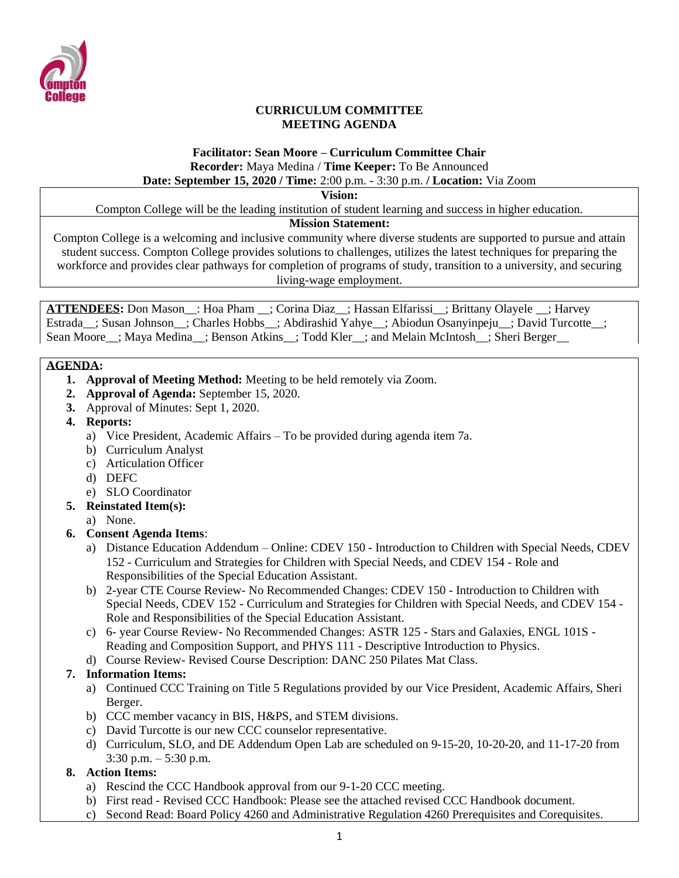

#### **CURRICULUM COMMITTEE MEETING AGENDA**

# **Facilitator: Sean Moore – Curriculum Committee Chair Recorder:** Maya Medina / **Time Keeper:** To Be Announced

### **Date: September 15, 2020 / Time:** 2:00 p.m. - 3:30 p.m. **/ Location:** Via Zoom

**Vision:**

Compton College will be the leading institution of student learning and success in higher education.

#### **Mission Statement:**

Compton College is a welcoming and inclusive community where diverse students are supported to pursue and attain student success. Compton College provides solutions to challenges, utilizes the latest techniques for preparing the workforce and provides clear pathways for completion of programs of study, transition to a university, and securing living-wage employment.

**ATTENDEES:** Don Mason\_\_: Hoa Pham \_\_; Corina Diaz\_\_; Hassan Elfarissi\_\_; Brittany Olayele \_\_; Harvey Estrada\_; Susan Johnson\_; Charles Hobbs\_; Abdirashid Yahye\_; Abiodun Osanyinpeju\_; David Turcotte\_; Sean Moore ; Maya Medina ; Benson Atkins ; Todd Kler\_; and Melain McIntosh\_; Sheri Berger

#### **AGENDA:**

- **1. Approval of Meeting Method:** Meeting to be held remotely via Zoom.
- **2. Approval of Agenda:** September 15, 2020.
- **3.** Approval of Minutes: Sept 1, 2020.
- **4. Reports:**
	- a) Vice President, Academic Affairs To be provided during agenda item 7a.
	- b) Curriculum Analyst
	- c) Articulation Officer
	- d) DEFC
	- e) SLO Coordinator
- **5. Reinstated Item(s):**
	- a) None.
- **6. Consent Agenda Items**:
	- a) Distance Education Addendum Online: CDEV 150 Introduction to Children with Special Needs, CDEV 152 - Curriculum and Strategies for Children with Special Needs, and CDEV 154 - Role and Responsibilities of the Special Education Assistant.
	- b) 2-year CTE Course Review- No Recommended Changes: CDEV 150 Introduction to Children with Special Needs, CDEV 152 - Curriculum and Strategies for Children with Special Needs, and CDEV 154 - Role and Responsibilities of the Special Education Assistant.
	- c) 6- year Course Review- No Recommended Changes: ASTR 125 Stars and Galaxies, ENGL 101S Reading and Composition Support, and PHYS 111 - Descriptive Introduction to Physics.
	- d) Course Review- Revised Course Description: DANC 250 Pilates Mat Class.

### **7. Information Items:**

- a) Continued CCC Training on Title 5 Regulations provided by our Vice President, Academic Affairs, Sheri Berger.
- b) CCC member vacancy in BIS, H&PS, and STEM divisions.
- c) David Turcotte is our new CCC counselor representative.
- d) Curriculum, SLO, and DE Addendum Open Lab are scheduled on 9-15-20, 10-20-20, and 11-17-20 from  $3:30$  p.m.  $-5:30$  p.m.

### **8. Action Items:**

- a) Rescind the CCC Handbook approval from our 9-1-20 CCC meeting.
- b) First read Revised CCC Handbook: Please see the attached revised CCC Handbook document.
- c) Second Read: Board Policy 4260 and Administrative Regulation 4260 Prerequisites and Corequisites.